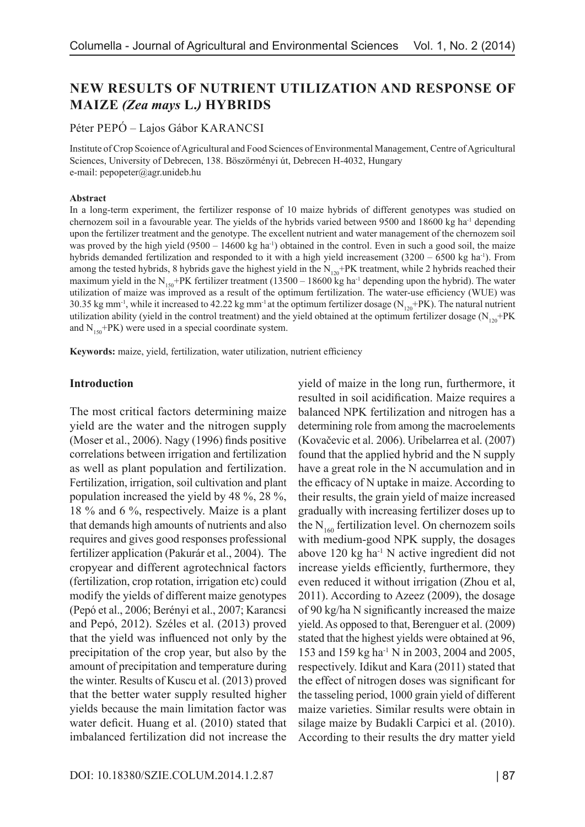# **NEW RESULTS OF NUTRIENT UTILIZATION AND RESPONSE OF MAIZE** *(Zea mays* **L.***)* **HYBRIDS**

#### Péter PEPÓ – Lajos Gábor KARANCSI

Institute of Crop Scoience of Agricultural and Food Sciences of Environmental Management, Centre of Agricultural Sciences, University of Debrecen, 138. Böszörményi út, Debrecen H-4032, Hungary e-mail: pepopeter@agr.unideb.hu

#### **Abstract**

In a long-term experiment, the fertilizer response of 10 maize hybrids of different genotypes was studied on chernozem soil in a favourable year. The yields of the hybrids varied between 9500 and 18600 kg ha-1 depending upon the fertilizer treatment and the genotype. The excellent nutrient and water management of the chernozem soil was proved by the high yield  $(9500 - 14600 \text{ kg ha}^{-1})$  obtained in the control. Even in such a good soil, the maize hybrids demanded fertilization and responded to it with a high yield increasement  $(3200 - 6500 \text{ kg ha}^{-1})$ . From among the tested hybrids, 8 hybrids gave the highest yield in the  $N_{120}+PK$  treatment, while 2 hybrids reached their maximum yield in the N<sub>150</sub>+PK fertilizer treatment (13500 – 18600 kg ha<sup>-1</sup> depending upon the hybrid). The water utilization of maize was improved as a result of the optimum fertilization. The water-use efficiency (WUE) was 30.35 kg mm<sup>-1</sup>, while it increased to 42.22 kg mm<sup>-1</sup> at the optimum fertilizer dosage ( $N_{120}$ +PK). The natural nutrient utilization ability (yield in the control treatment) and the yield obtained at the optimum fertilizer dosage ( $N_{120}$ +PK and  $N_{150}$ +PK) were used in a special coordinate system.

**Keywords:** maize, yield, fertilization, water utilization, nutrient efficiency

#### **Introduction**

The most critical factors determining maize yield are the water and the nitrogen supply (Moser et al., 2006). Nagy (1996) finds positive correlations between irrigation and fertilization as well as plant population and fertilization. Fertilization, irrigation, soil cultivation and plant population increased the yield by 48 %, 28 %, 18 % and 6 %, respectively. Maize is a plant that demands high amounts of nutrients and also requires and gives good responses professional fertilizer application (Pakurár et al., 2004). The cropyear and different agrotechnical factors (fertilization, crop rotation, irrigation etc) could modify the yields of different maize genotypes (Pepó et al., 2006; Berényi et al., 2007; Karancsi and Pepó, 2012). Széles et al. (2013) proved that the yield was influenced not only by the precipitation of the crop year, but also by the amount of precipitation and temperature during the winter. Results of Kuscu et al. (2013) proved that the better water supply resulted higher yields because the main limitation factor was water deficit. Huang et al. (2010) stated that imbalanced fertilization did not increase the

yield of maize in the long run, furthermore, it resulted in soil acidification. Maize requires a balanced NPK fertilization and nitrogen has a determining role from among the macroelements (Kovačevic et al. 2006). Uribelarrea et al. (2007) found that the applied hybrid and the N supply have a great role in the N accumulation and in the efficacy of N uptake in maize. According to their results, the grain yield of maize increased gradually with increasing fertilizer doses up to the  $N_{160}$  fertilization level. On chernozem soils with medium-good NPK supply, the dosages above  $120 \text{ kg}$  ha<sup>-1</sup> N active ingredient did not increase yields efficiently, furthermore, they even reduced it without irrigation (Zhou et al, 2011). According to Azeez (2009), the dosage of 90 kg/ha N significantly increased the maize yield. As opposed to that, Berenguer et al. (2009) stated that the highest yields were obtained at 96, 153 and 159 kg ha-1 N in 2003, 2004 and 2005, respectively. Idikut and Kara (2011) stated that the effect of nitrogen doses was significant for the tasseling period, 1000 grain yield of different maize varieties. Similar results were obtain in silage maize by Budakli Carpici et al. (2010). According to their results the dry matter yield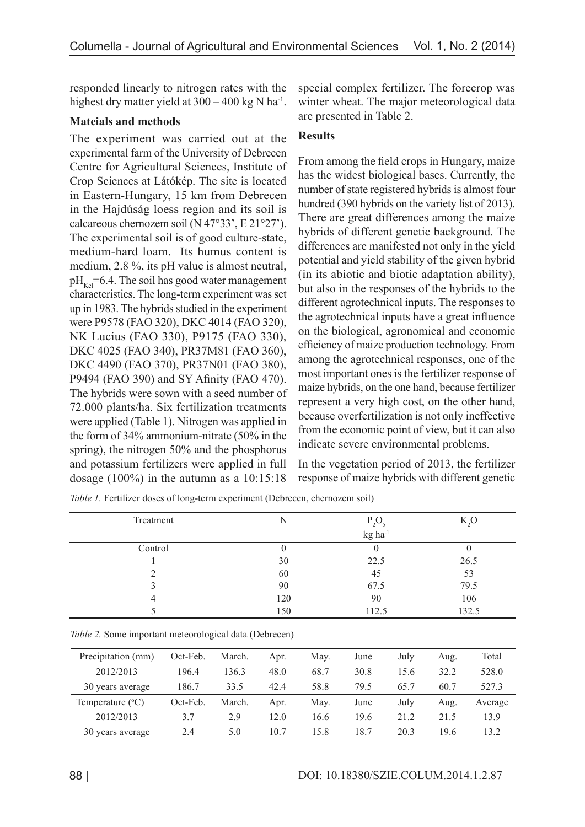responded linearly to nitrogen rates with the highest dry matter yield at  $300 - 400$  kg N ha<sup>-1</sup>.

### **Mateials and methods**

The experiment was carried out at the experimental farm of the University of Debrecen Centre for Agricultural Sciences, Institute of Crop Sciences at Látókép. The site is located in Eastern-Hungary, 15 km from Debrecen in the Hajdúság loess region and its soil is calcareous chernozem soil (N 47°33', E 21°27'). The experimental soil is of good culture-state, medium-hard loam. Its humus content is medium, 2.8 %, its pH value is almost neutral,  $pH<sub>Kol</sub>=6.4$ . The soil has good water management characteristics. The long-term experiment was set up in 1983. The hybrids studied in the experiment were P9578 (FAO 320), DKC 4014 (FAO 320), NK Lucius (FAO 330), P9175 (FAO 330), DKC 4025 (FAO 340), PR37M81 (FAO 360), DKC 4490 (FAO 370), PR37N01 (FAO 380), P9494 (FAO 390) and SY Afinity (FAO 470). The hybrids were sown with a seed number of 72.000 plants/ha. Six fertilization treatments were applied (Table 1). Nitrogen was applied in the form of 34% ammonium-nitrate (50% in the spring), the nitrogen 50% and the phosphorus and potassium fertilizers were applied in full dosage (100%) in the autumn as a 10:15:18

special complex fertilizer. The forecrop was winter wheat. The major meteorological data are presented in Table 2.

## **Results**

From among the field crops in Hungary, maize has the widest biological bases. Currently, the number of state registered hybrids is almost four hundred (390 hybrids on the variety list of 2013). There are great differences among the maize hybrids of different genetic background. The differences are manifested not only in the yield potential and yield stability of the given hybrid (in its abiotic and biotic adaptation ability), but also in the responses of the hybrids to the different agrotechnical inputs. The responses to the agrotechnical inputs have a great influence on the biological, agronomical and economic efficiency of maize production technology. From among the agrotechnical responses, one of the most important ones is the fertilizer response of maize hybrids, on the one hand, because fertilizer represent a very high cost, on the other hand, because overfertilization is not only ineffective from the economic point of view, but it can also indicate severe environmental problems.

In the vegetation period of 2013, the fertilizer response of maize hybrids with different genetic

| Treatment |     | P <sub>2</sub> C    | K, O  |
|-----------|-----|---------------------|-------|
|           |     | kg ha <sup>-1</sup> |       |
| Control   |     |                     |       |
|           | 30  | 22.5                | 26.5  |
|           | 60  | 45                  | 53    |
|           | 90  | 67.5                | 79.5  |
|           | 120 | 90                  | 106   |
|           | 150 | 112.5               | 132.5 |

*Table 1.* Fertilizer doses of long-term experiment (Debrecen, chernozem soil)

| Table 2. Some important meteorological data (Debrecen) |  |
|--------------------------------------------------------|--|
|--------------------------------------------------------|--|

| Precipitation (mm)        | Oct-Feb. | March. | Apr. | May. | June | July | Aug. | Total   |
|---------------------------|----------|--------|------|------|------|------|------|---------|
| 2012/2013                 | 196.4    | 136.3  | 48.0 | 68.7 | 30.8 | 15.6 | 32.2 | 528.0   |
| 30 years average          | 186.7    | 33.5   | 42.4 | 58.8 | 79.5 | 65.7 | 60.7 | 527.3   |
| Temperature $(^{\circ}C)$ | Oct-Feb. | March. | Apr. | Mav. | June | July | Aug. | Average |
| 2012/2013                 | 3.7      | 2.9    | 12.0 | 16.6 | 19.6 | 21.2 | 21.5 | 13.9    |
| 30 years average          | 2.4      | 5.0    | 10.7 | 15.8 | 18.7 | 203  | 19.6 | 13.2    |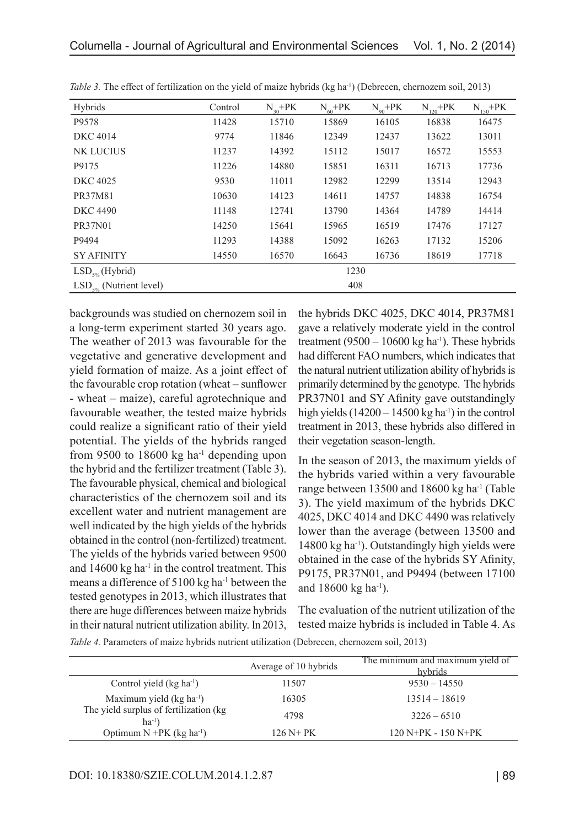| Hybrids                      | Control | $N_{30}+PK$ | $N_{60} + PK$ | $N_{q_0}$ +PK | $N_{120} + PK$ | $N_{150} + PK$ |
|------------------------------|---------|-------------|---------------|---------------|----------------|----------------|
| P9578                        | 11428   | 15710       | 15869         | 16105         | 16838          | 16475          |
| <b>DKC</b> 4014              | 9774    | 11846       | 12349         | 12437         | 13622          | 13011          |
| <b>NK LUCIUS</b>             | 11237   | 14392       | 15112         | 15017         | 16572          | 15553          |
| P9175                        | 11226   | 14880       | 15851         | 16311         | 16713          | 17736          |
| <b>DKC 4025</b>              | 9530    | 11011       | 12982         | 12299         | 13514          | 12943          |
| PR37M81                      | 10630   | 14123       | 14611         | 14757         | 14838          | 16754          |
| <b>DKC 4490</b>              | 11148   | 12741       | 13790         | 14364         | 14789          | 14414          |
| <b>PR37N01</b>               | 14250   | 15641       | 15965         | 16519         | 17476          | 17127          |
| P9494                        | 11293   | 14388       | 15092         | 16263         | 17132          | 15206          |
| <b>SY AFINITY</b>            | 14550   | 16570       | 16643         | 16736         | 18619          | 17718          |
| $LSD_{5\%}$ (Hybrid)         | 1230    |             |               |               |                |                |
| $LSD_{5\%}$ (Nutrient level) | 408     |             |               |               |                |                |

*Table 3.* The effect of fertilization on the yield of maize hybrids (kg ha<sup>-1</sup>) (Debrecen, chernozem soil, 2013)

backgrounds was studied on chernozem soil in a long-term experiment started 30 years ago. The weather of 2013 was favourable for the vegetative and generative development and yield formation of maize. As a joint effect of the favourable crop rotation (wheat – sunflower - wheat – maize), careful agrotechnique and favourable weather, the tested maize hybrids could realize a significant ratio of their yield potential. The yields of the hybrids ranged from 9500 to 18600 kg ha<sup>-1</sup> depending upon the hybrid and the fertilizer treatment (Table 3). The favourable physical, chemical and biological characteristics of the chernozem soil and its excellent water and nutrient management are well indicated by the high yields of the hybrids obtained in the control (non-fertilized) treatment. The yields of the hybrids varied between 9500 and 14600 kg ha<sup>-1</sup> in the control treatment. This means a difference of 5100 kg ha<sup>-1</sup> between the tested genotypes in 2013, which illustrates that there are huge differences between maize hybrids in their natural nutrient utilization ability. In 2013,

the hybrids DKC 4025, DKC 4014, PR37M81 gave a relatively moderate yield in the control treatment (9500 – 10600 kg ha<sup>-1</sup>). These hybrids had different FAO numbers, which indicates that the natural nutrient utilization ability of hybrids is primarily determined by the genotype. The hybrids PR37N01 and SY Afinity gave outstandingly high yields  $(14200 - 14500 \text{ kg ha}^{-1})$  in the control treatment in 2013, these hybrids also differed in their vegetation season-length.

In the season of 2013, the maximum yields of the hybrids varied within a very favourable range between 13500 and 18600 kg ha<sup>-1</sup> (Table 3). The yield maximum of the hybrids DKC 4025, DKC 4014 and DKC 4490 was relatively lower than the average (between 13500 and 14800 kg ha<sup>-1</sup>). Outstandingly high yields were obtained in the case of the hybrids SY Afinity, P9175, PR37N01, and P9494 (between 17100 and  $18600 \text{ kg} \text{ ha}^{-1}$ ).

The evaluation of the nutrient utilization of the tested maize hybrids is included in Table 4. As

|                                                     | Average of 10 hybrids | The minimum and maximum yield of<br>hybrids |
|-----------------------------------------------------|-----------------------|---------------------------------------------|
| Control yield $(kg ha^{-1})$                        | 11507                 | $9530 - 14550$                              |
| Maximum yield $(kg ha-1)$                           | 16305                 | $13514 - 18619$                             |
| The yield surplus of fertilization (kg<br>$ha^{-1}$ | 4798                  | $3226 - 6510$                               |
| Optimum $N + PK$ (kg ha <sup>-1</sup> )             | $126 N + PK$          | $120 N+PK - 150 N+PK$                       |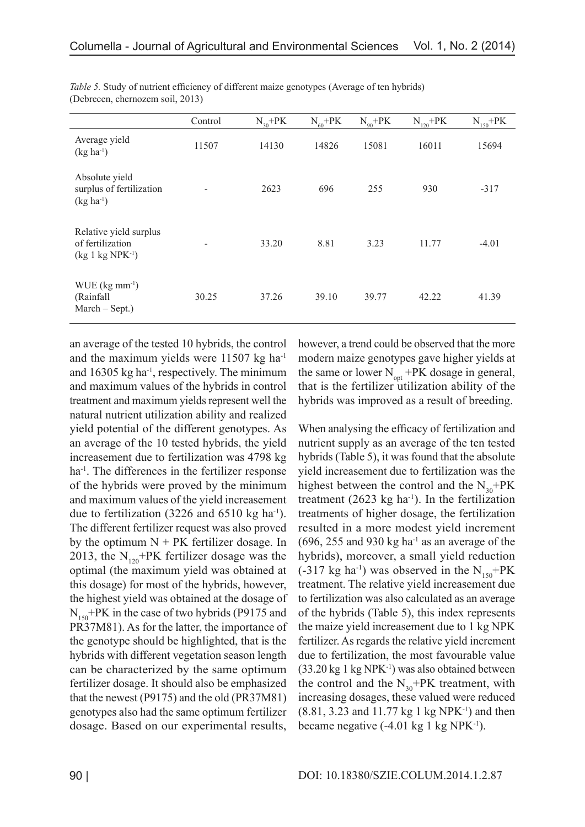|                                                                    | Control | $N_{30}+PK$ | $N_{60} + PK$ | $N_{90} + PK$ | $N_{120}$ +PK | $N_{150} + PK$ |
|--------------------------------------------------------------------|---------|-------------|---------------|---------------|---------------|----------------|
| Average yield<br>$(kg ha^{-1})$                                    | 11507   | 14130       | 14826         | 15081         | 16011         | 15694          |
| Absolute yield<br>surplus of fertilization<br>$(kg ha^{-1})$       |         | 2623        | 696           | 255           | 930           | $-317$         |
| Relative yield surplus<br>of fertilization<br>$(kg 1 kg NPK^{-1})$ |         | 33.20       | 8.81          | 3.23          | 11.77         | $-4.01$        |
| $WUE$ (kg mm <sup>-1</sup> )<br>(Rainfall<br>$March - Sept.)$      | 30.25   | 37.26       | 39.10         | 39.77         | 42.22         | 41.39          |

*Table 5.* Study of nutrient efficiency of different maize genotypes (Average of ten hybrids) (Debrecen, chernozem soil, 2013)

an average of the tested 10 hybrids, the control and the maximum yields were 11507 kg ha-1 and  $16305$  kg ha<sup>-1</sup>, respectively. The minimum and maximum values of the hybrids in control treatment and maximum yields represent well the natural nutrient utilization ability and realized yield potential of the different genotypes. As an average of the 10 tested hybrids, the yield increasement due to fertilization was 4798 kg ha-1. The differences in the fertilizer response of the hybrids were proved by the minimum and maximum values of the yield increasement due to fertilization  $(3226 \text{ and } 6510 \text{ kg ha}^{-1})$ . The different fertilizer request was also proved by the optimum  $N + PK$  fertilizer dosage. In 2013, the  $N_{120}$ +PK fertilizer dosage was the optimal (the maximum yield was obtained at this dosage) for most of the hybrids, however, the highest yield was obtained at the dosage of  $N_{150}$ +PK in the case of two hybrids (P9175 and PR37M81). As for the latter, the importance of the genotype should be highlighted, that is the hybrids with different vegetation season length can be characterized by the same optimum fertilizer dosage. It should also be emphasized that the newest (P9175) and the old (PR37M81) genotypes also had the same optimum fertilizer dosage. Based on our experimental results,

however, a trend could be observed that the more modern maize genotypes gave higher yields at the same or lower  $N_{\text{opt}}$  +PK dosage in general, that is the fertilizer utilization ability of the hybrids was improved as a result of breeding.

When analysing the efficacy of fertilization and nutrient supply as an average of the ten tested hybrids (Table 5), it was found that the absolute yield increasement due to fertilization was the highest between the control and the  $N_{30}$ +PK treatment  $(2623 \text{ kg ha}^{-1})$ . In the fertilization treatments of higher dosage, the fertilization resulted in a more modest yield increment  $(696, 255, and 930 \text{ kg} \text{ ha}^{-1})$  as an average of the hybrids), moreover, a small yield reduction  $(-317 \text{ kg ha}^{-1})$  was observed in the N<sub>150</sub>+PK treatment. The relative yield increasement due to fertilization was also calculated as an average of the hybrids (Table 5), this index represents the maize yield increasement due to 1 kg NPK fertilizer. As regards the relative yield increment due to fertilization, the most favourable value  $(33.20 \text{ kg } 1 \text{ kg } \text{NPK}^{-1})$  was also obtained between the control and the  $N_{30}$ +PK treatment, with increasing dosages, these valued were reduced (8.81, 3.23 and 11.77 kg 1 kg NPK-1) and then became negative  $(-4.01 \text{ kg } 1 \text{ kg } NPK^{-1})$ .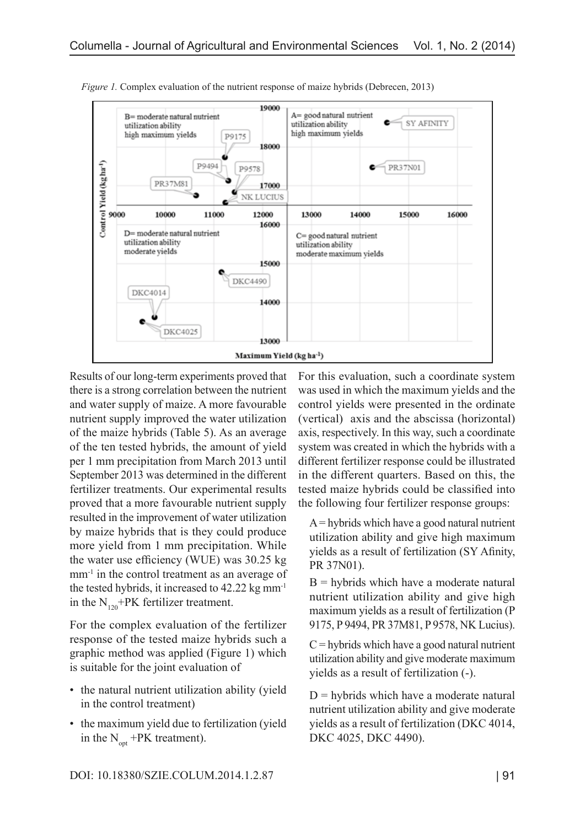

*Figure 1.* Complex evaluation of the nutrient response of maize hybrids (Debrecen, 2013)

Results of our long-term experiments proved that there is a strong correlation between the nutrient and water supply of maize. A more favourable nutrient supply improved the water utilization of the maize hybrids (Table 5). As an average of the ten tested hybrids, the amount of yield per 1 mm precipitation from March 2013 until September 2013 was determined in the different fertilizer treatments. Our experimental results proved that a more favourable nutrient supply resulted in the improvement of water utilization by maize hybrids that is they could produce more yield from 1 mm precipitation. While the water use efficiency (WUE) was 30.25 kg mm<sup>-1</sup> in the control treatment as an average of the tested hybrids, it increased to 42.22 kg mm-1 in the  $N_{120}$ +PK fertilizer treatment.

For the complex evaluation of the fertilizer response of the tested maize hybrids such a graphic method was applied (Figure 1) which is suitable for the joint evaluation of

- the natural nutrient utilization ability (yield) in the control treatment)
- the maximum yield due to fertilization (yield) in the  $N_{\text{opt}}$  +PK treatment).

For this evaluation, such a coordinate system was used in which the maximum yields and the control yields were presented in the ordinate (vertical) axis and the abscissa (horizontal) axis, respectively. In this way, such a coordinate system was created in which the hybrids with a different fertilizer response could be illustrated in the different quarters. Based on this, the tested maize hybrids could be classified into the following four fertilizer response groups:

 $A =$ hybrids which have a good natural nutrient utilization ability and give high maximum yields as a result of fertilization (SY Afinity, PR 37N01).

 $B =$  hybrids which have a moderate natural nutrient utilization ability and give high maximum yields as a result of fertilization (P 9175, P 9494, PR 37M81, P 9578, NK Lucius).

 $C =$  hybrids which have a good natural nutrient utilization ability and give moderate maximum yields as a result of fertilization (-).

 $D =$  hybrids which have a moderate natural nutrient utilization ability and give moderate yields as a result of fertilization (DKC 4014, DKC 4025, DKC 4490).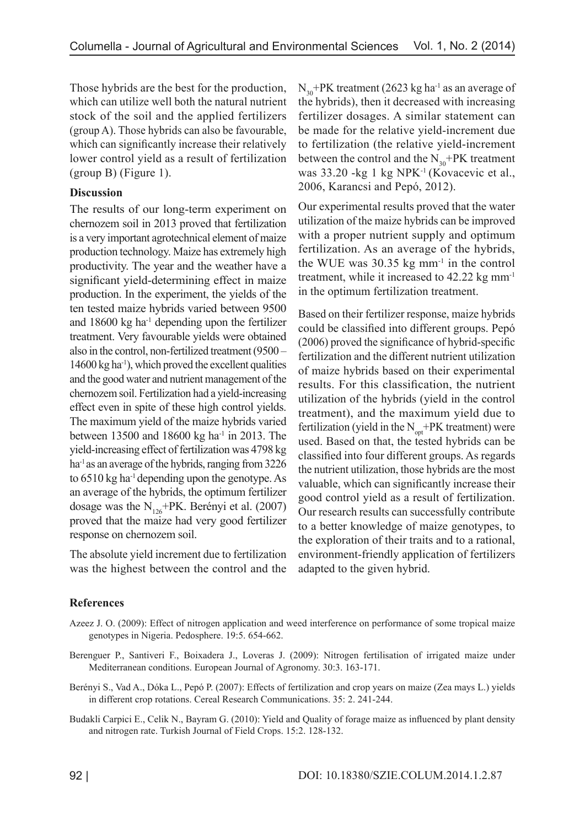Those hybrids are the best for the production, which can utilize well both the natural nutrient stock of the soil and the applied fertilizers (group A). Those hybrids can also be favourable, which can significantly increase their relatively lower control yield as a result of fertilization (group B) (Figure 1).

## **Discussion**

The results of our long-term experiment on chernozem soil in 2013 proved that fertilization is a very important agrotechnical element of maize production technology. Maize has extremely high productivity. The year and the weather have a significant yield-determining effect in maize production. In the experiment, the yields of the ten tested maize hybrids varied between 9500 and  $18600 \text{ kg}$  ha<sup>-1</sup> depending upon the fertilizer treatment. Very favourable yields were obtained also in the control, non-fertilized treatment (9500 –  $14600 \text{ kg}$  ha<sup>-1</sup>), which proved the excellent qualities and the good water and nutrient management of the chernozem soil. Fertilization had a yield-increasing effect even in spite of these high control yields. The maximum yield of the maize hybrids varied between 13500 and 18600 kg ha-1 in 2013. The yield-increasing effect of fertilization was 4798 kg ha<sup>-1</sup> as an average of the hybrids, ranging from 3226 to 6510 kg ha-1 depending upon the genotype. As an average of the hybrids, the optimum fertilizer dosage was the  $N_{126}$ +PK. Berényi et al. (2007) proved that the maize had very good fertilizer response on chernozem soil.

The absolute yield increment due to fertilization was the highest between the control and the

 $N_{30}$ +PK treatment (2623 kg ha<sup>-1</sup> as an average of the hybrids), then it decreased with increasing fertilizer dosages. A similar statement can be made for the relative yield-increment due to fertilization (the relative yield-increment between the control and the  $N_{30}$ +PK treatment was 33.20 -kg 1 kg NPK-1 (Kovacevic et al., 2006, Karancsi and Pepó, 2012).

Our experimental results proved that the water utilization of the maize hybrids can be improved with a proper nutrient supply and optimum fertilization. As an average of the hybrids, the WUE was  $30.35$  kg mm<sup>-1</sup> in the control treatment, while it increased to 42.22 kg mm-1 in the optimum fertilization treatment.

Based on their fertilizer response, maize hybrids could be classified into different groups. Pepó (2006) proved the significance of hybrid-specific fertilization and the different nutrient utilization of maize hybrids based on their experimental results. For this classification, the nutrient utilization of the hybrids (yield in the control treatment), and the maximum yield due to fertilization (yield in the  $N_{\text{opt}}$ +PK treatment) were used. Based on that, the tested hybrids can be classified into four different groups. As regards the nutrient utilization, those hybrids are the most valuable, which can significantly increase their good control yield as a result of fertilization. Our research results can successfully contribute to a better knowledge of maize genotypes, to the exploration of their traits and to a rational, environment-friendly application of fertilizers adapted to the given hybrid.

# **References**

- Azeez J. O. (2009): Effect of nitrogen application and weed interference on performance of some tropical maize genotypes in Nigeria. Pedosphere. 19:5. 654-662.
- Berenguer P., Santiveri F., Boixadera J., Loveras J. (2009): Nitrogen fertilisation of irrigated maize under Mediterranean conditions. European Journal of Agronomy. 30:3. 163-171.
- Berényi S., Vad A., Dóka L., Pepó P. (2007): Effects of fertilization and crop years on maize (Zea mays L.) yields in different crop rotations. Cereal Research Communications. 35: 2. 241-244.
- Budakli Carpici E., Celik N., Bayram G. (2010): Yield and Quality of forage maize as influenced by plant density and nitrogen rate. Turkish Journal of Field Crops. 15:2. 128-132.